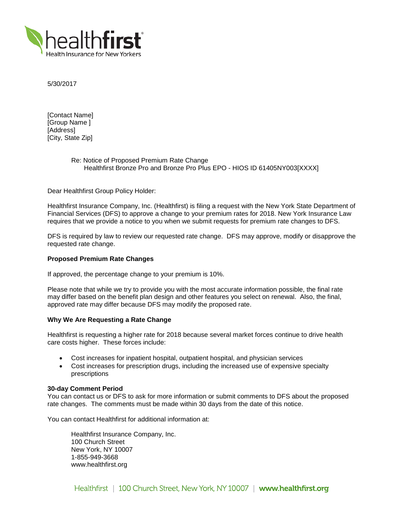

5/30/2017

[Contact Name] [Group Name ] [Address] [City, State Zip]

# Re: Notice of Proposed Premium Rate Change Healthfirst Bronze Pro and Bronze Pro Plus EPO - HIOS ID 61405NY003[XXXX]

Dear Healthfirst Group Policy Holder:

Healthfirst Insurance Company, Inc. (Healthfirst) is filing a request with the New York State Department of Financial Services (DFS) to approve a change to your premium rates for 2018. New York Insurance Law requires that we provide a notice to you when we submit requests for premium rate changes to DFS.

DFS is required by law to review our requested rate change. DFS may approve, modify or disapprove the requested rate change.

## **Proposed Premium Rate Changes**

If approved, the percentage change to your premium is 10%.

Please note that while we try to provide you with the most accurate information possible, the final rate may differ based on the benefit plan design and other features you select on renewal. Also, the final, approved rate may differ because DFS may modify the proposed rate.

# **Why We Are Requesting a Rate Change**

Healthfirst is requesting a higher rate for 2018 because several market forces continue to drive health care costs higher. These forces include:

- Cost increases for inpatient hospital, outpatient hospital, and physician services
- Cost increases for prescription drugs, including the increased use of expensive specialty prescriptions

### **30-day Comment Period**

You can contact us or DFS to ask for more information or submit comments to DFS about the proposed rate changes. The comments must be made within 30 days from the date of this notice.

You can contact Healthfirst for additional information at:

Healthfirst Insurance Company, Inc. 100 Church Street New York, NY 10007 1-855-949-3668 www.healthfirst.org